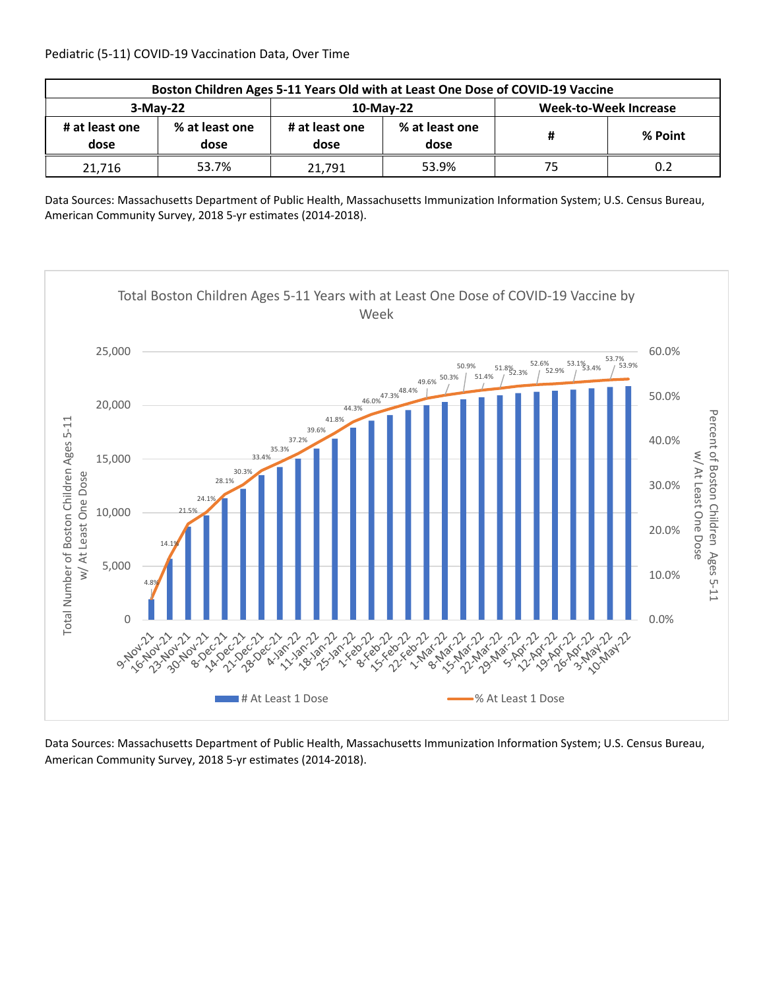| Boston Children Ages 5-11 Years Old with at Least One Dose of COVID-19 Vaccine |                        |                        |                        |                              |         |  |  |
|--------------------------------------------------------------------------------|------------------------|------------------------|------------------------|------------------------------|---------|--|--|
| $3-May-22$                                                                     |                        |                        | 10-May-22              | <b>Week-to-Week Increase</b> |         |  |  |
| # at least one<br>dose                                                         | % at least one<br>dose | # at least one<br>dose | % at least one<br>dose | #                            | % Point |  |  |
| 21.716                                                                         | 53.7%                  | 21.791                 | 53.9%                  | 75                           | 0.2     |  |  |

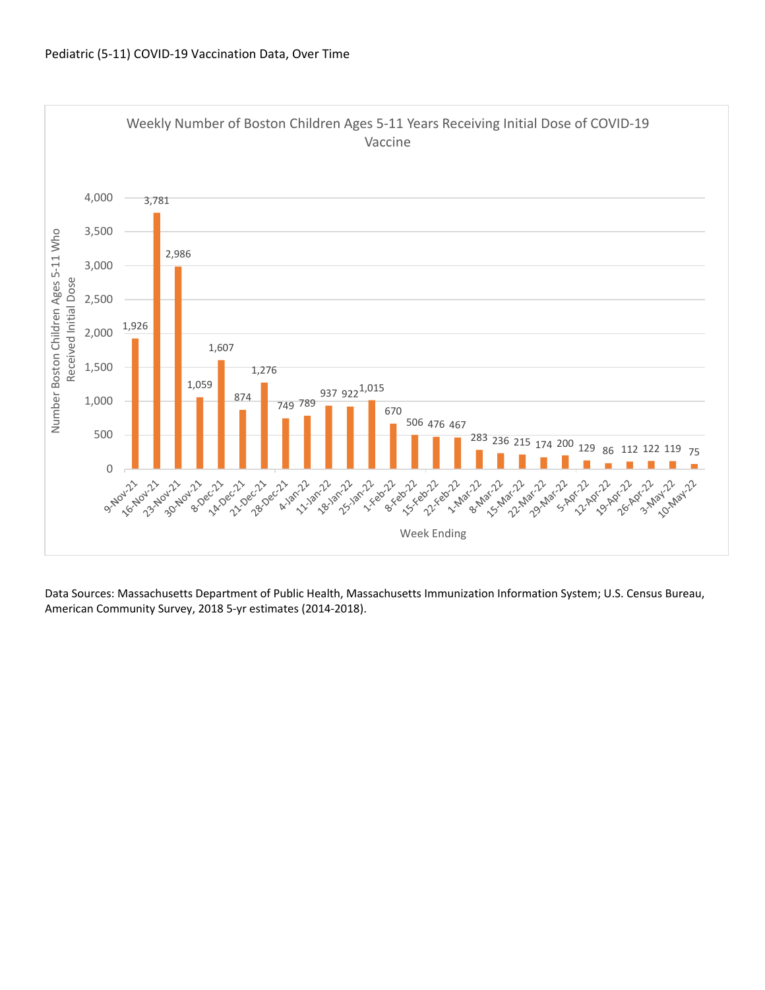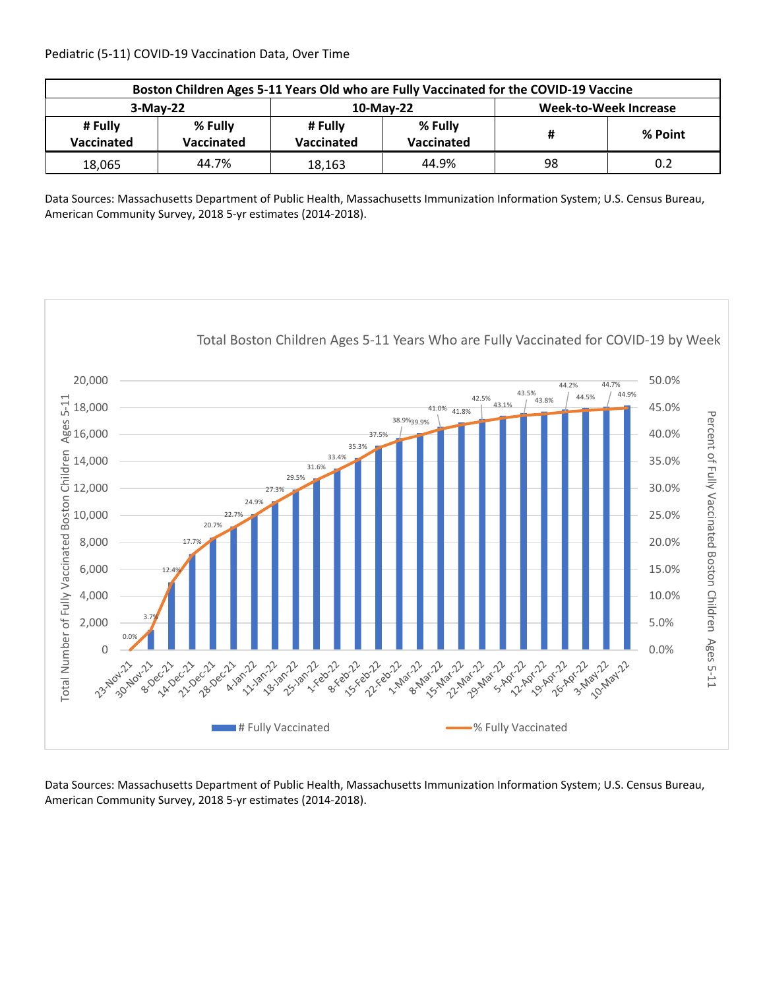| Boston Children Ages 5-11 Years Old who are Fully Vaccinated for the COVID-19 Vaccine |                       |                       |                       |                              |         |  |  |
|---------------------------------------------------------------------------------------|-----------------------|-----------------------|-----------------------|------------------------------|---------|--|--|
| $3-May-22$                                                                            |                       |                       | $10$ -May-22          | <b>Week-to-Week Increase</b> |         |  |  |
| # Fully<br>Vaccinated                                                                 | % Fully<br>Vaccinated | # Fully<br>Vaccinated | % Fully<br>Vaccinated | #                            | % Point |  |  |
| 18,065                                                                                | 44.7%                 | 18,163                | 44.9%                 | 98                           | 0.2     |  |  |

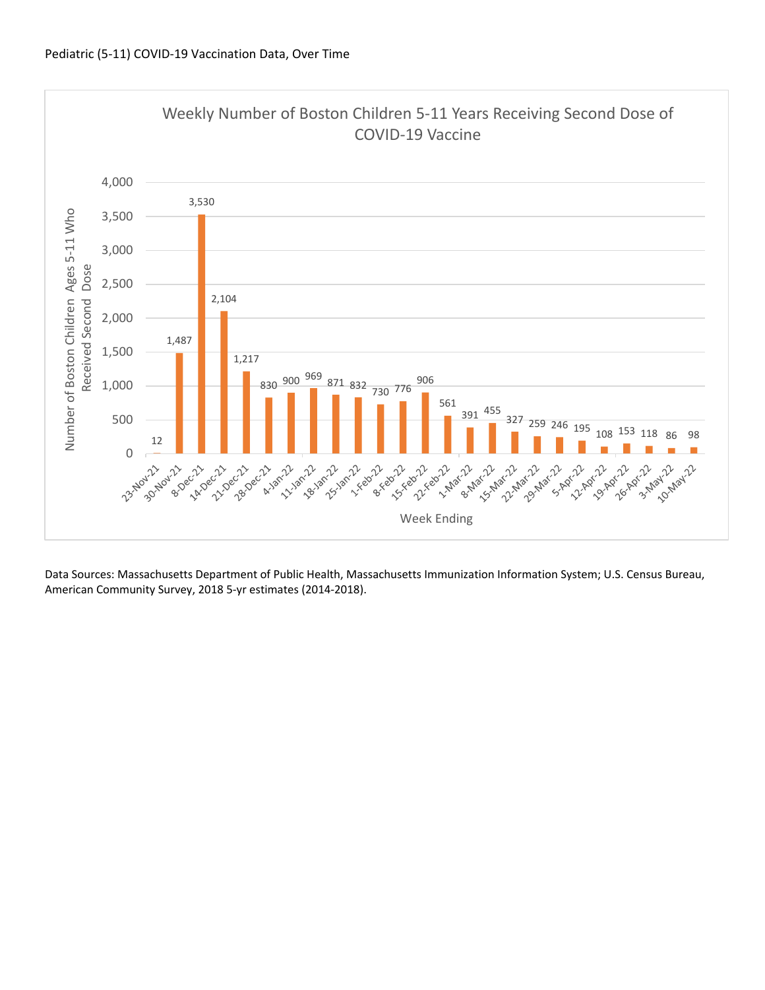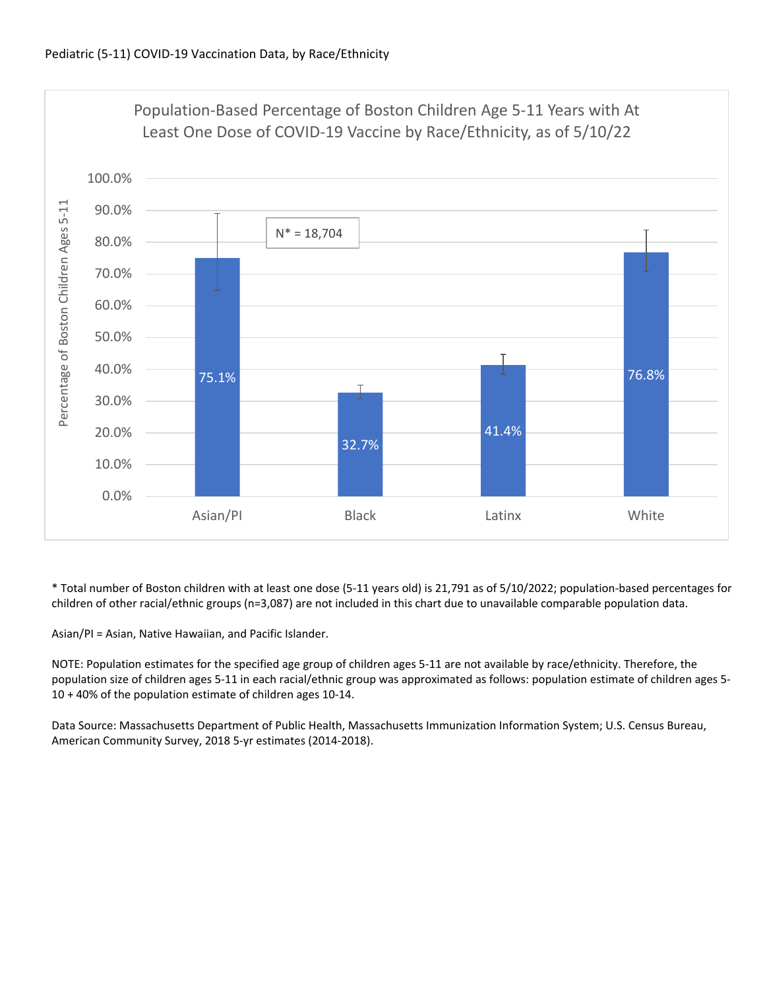

\* Total number of Boston children with at least one dose (5‐11 years old) is 21,791 as of 5/10/2022; population‐based percentages for children of other racial/ethnic groups (n=3,087) are not included in this chart due to unavailable comparable population data.

Asian/PI = Asian, Native Hawaiian, and Pacific Islander.

NOTE: Population estimates for the specified age group of children ages 5‐11 are not available by race/ethnicity. Therefore, the population size of children ages 5‐11 in each racial/ethnic group was approximated as follows: population estimate of children ages 5‐ 10 + 40% of the population estimate of children ages 10‐14.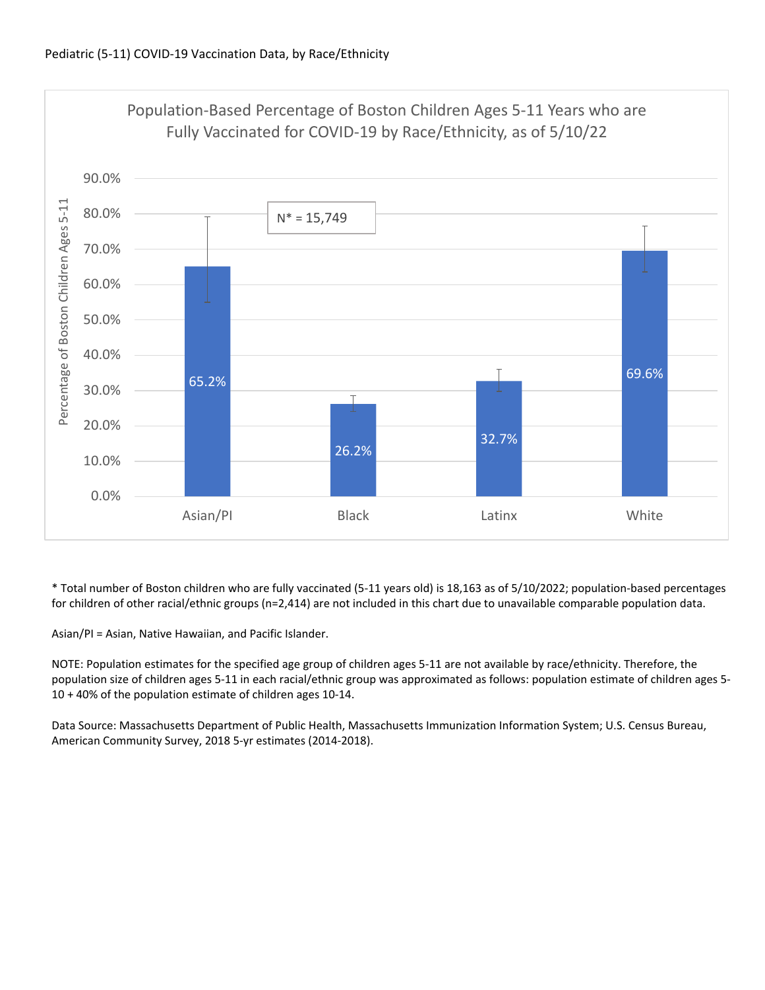

\* Total number of Boston children who are fully vaccinated (5‐11 years old) is 18,163 as of 5/10/2022; population‐based percentages for children of other racial/ethnic groups (n=2,414) are not included in this chart due to unavailable comparable population data.

Asian/PI = Asian, Native Hawaiian, and Pacific Islander.

NOTE: Population estimates for the specified age group of children ages 5‐11 are not available by race/ethnicity. Therefore, the population size of children ages 5‐11 in each racial/ethnic group was approximated as follows: population estimate of children ages 5‐ 10 + 40% of the population estimate of children ages 10‐14.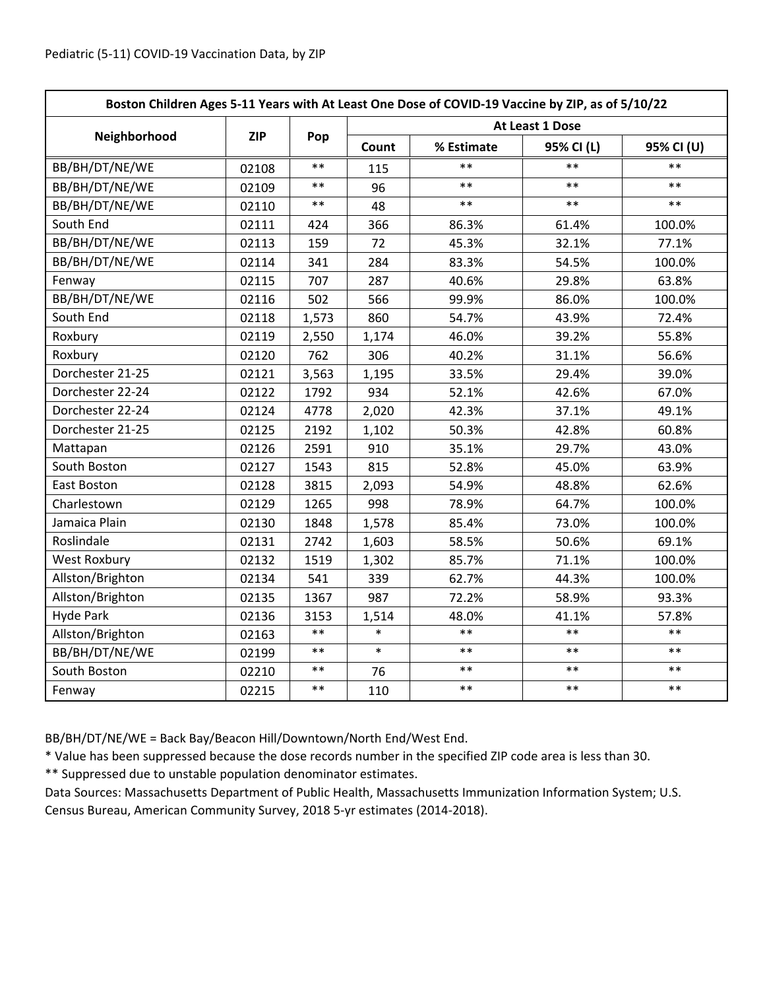| Boston Children Ages 5-11 Years with At Least One Dose of COVID-19 Vaccine by ZIP, as of 5/10/22 |            |            |                 |            |            |            |  |
|--------------------------------------------------------------------------------------------------|------------|------------|-----------------|------------|------------|------------|--|
|                                                                                                  | <b>ZIP</b> | Pop        | At Least 1 Dose |            |            |            |  |
| Neighborhood                                                                                     |            |            | Count           | % Estimate | 95% CI (L) | 95% CI (U) |  |
| BB/BH/DT/NE/WE                                                                                   | 02108      | $\ast\ast$ | 115             | $\ast\ast$ | $***$      | $**$       |  |
| BB/BH/DT/NE/WE                                                                                   | 02109      | $***$      | 96              | $***$      | $***$      | $***$      |  |
| BB/BH/DT/NE/WE                                                                                   | 02110      | $***$      | 48              | $***$      | $***$      | $***$      |  |
| South End                                                                                        | 02111      | 424        | 366             | 86.3%      | 61.4%      | 100.0%     |  |
| BB/BH/DT/NE/WE                                                                                   | 02113      | 159        | 72              | 45.3%      | 32.1%      | 77.1%      |  |
| BB/BH/DT/NE/WE                                                                                   | 02114      | 341        | 284             | 83.3%      | 54.5%      | 100.0%     |  |
| Fenway                                                                                           | 02115      | 707        | 287             | 40.6%      | 29.8%      | 63.8%      |  |
| BB/BH/DT/NE/WE                                                                                   | 02116      | 502        | 566             | 99.9%      | 86.0%      | 100.0%     |  |
| South End                                                                                        | 02118      | 1,573      | 860             | 54.7%      | 43.9%      | 72.4%      |  |
| Roxbury                                                                                          | 02119      | 2,550      | 1,174           | 46.0%      | 39.2%      | 55.8%      |  |
| Roxbury                                                                                          | 02120      | 762        | 306             | 40.2%      | 31.1%      | 56.6%      |  |
| Dorchester 21-25                                                                                 | 02121      | 3,563      | 1,195           | 33.5%      | 29.4%      | 39.0%      |  |
| Dorchester 22-24                                                                                 | 02122      | 1792       | 934             | 52.1%      | 42.6%      | 67.0%      |  |
| Dorchester 22-24                                                                                 | 02124      | 4778       | 2,020           | 42.3%      | 37.1%      | 49.1%      |  |
| Dorchester 21-25                                                                                 | 02125      | 2192       | 1,102           | 50.3%      | 42.8%      | 60.8%      |  |
| Mattapan                                                                                         | 02126      | 2591       | 910             | 35.1%      | 29.7%      | 43.0%      |  |
| South Boston                                                                                     | 02127      | 1543       | 815             | 52.8%      | 45.0%      | 63.9%      |  |
| East Boston                                                                                      | 02128      | 3815       | 2,093           | 54.9%      | 48.8%      | 62.6%      |  |
| Charlestown                                                                                      | 02129      | 1265       | 998             | 78.9%      | 64.7%      | 100.0%     |  |
| Jamaica Plain                                                                                    | 02130      | 1848       | 1,578           | 85.4%      | 73.0%      | 100.0%     |  |
| Roslindale                                                                                       | 02131      | 2742       | 1,603           | 58.5%      | 50.6%      | 69.1%      |  |
| <b>West Roxbury</b>                                                                              | 02132      | 1519       | 1,302           | 85.7%      | 71.1%      | 100.0%     |  |
| Allston/Brighton                                                                                 | 02134      | 541        | 339             | 62.7%      | 44.3%      | 100.0%     |  |
| Allston/Brighton                                                                                 | 02135      | 1367       | 987             | 72.2%      | 58.9%      | 93.3%      |  |
| <b>Hyde Park</b>                                                                                 | 02136      | 3153       | 1,514           | 48.0%      | 41.1%      | 57.8%      |  |
| Allston/Brighton                                                                                 | 02163      | $***$      | $\ast$          | $***$      | $***$      | $**$       |  |
| BB/BH/DT/NE/WE                                                                                   | 02199      | $***$      | $\ast$          | $***$      | $***$      | $**$       |  |
| South Boston                                                                                     | 02210      | $\ast\ast$ | 76              | $***$      | $***$      | $***$      |  |
| Fenway                                                                                           | 02215      | $\ast\ast$ | 110             | $***$      | $***$      | $***$      |  |

BB/BH/DT/NE/WE = Back Bay/Beacon Hill/Downtown/North End/West End.

\* Value has been suppressed because the dose records number in the specified ZIP code area is less than 30.

\*\* Suppressed due to unstable population denominator estimates.